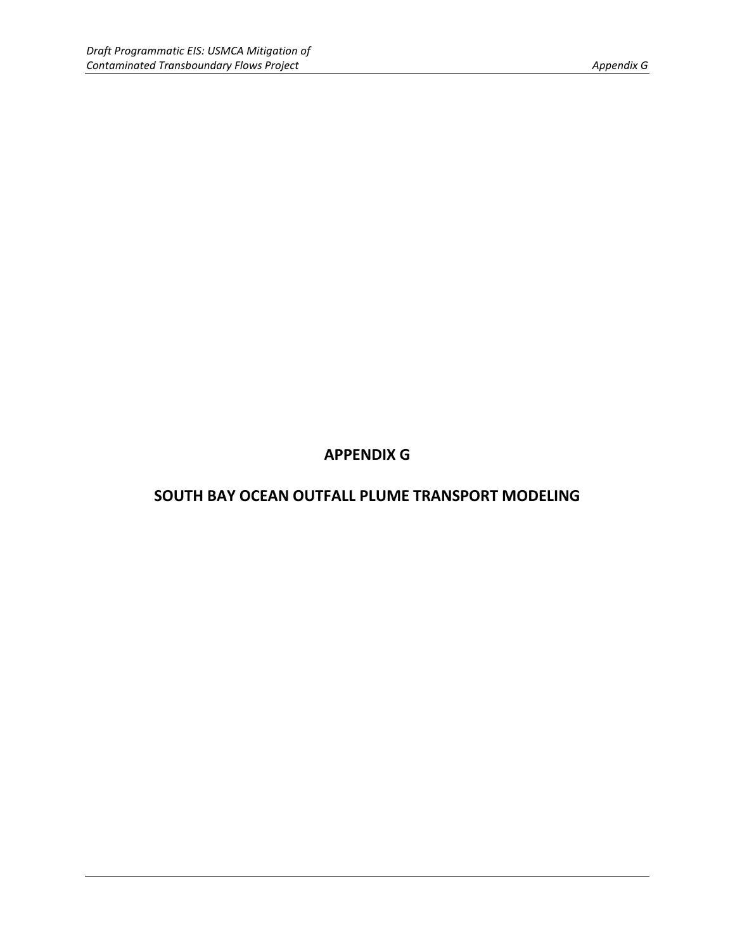# **APPENDIX G**

# **SOUTH BAY OCEAN OUTFALL PLUME TRANSPORT MODELING**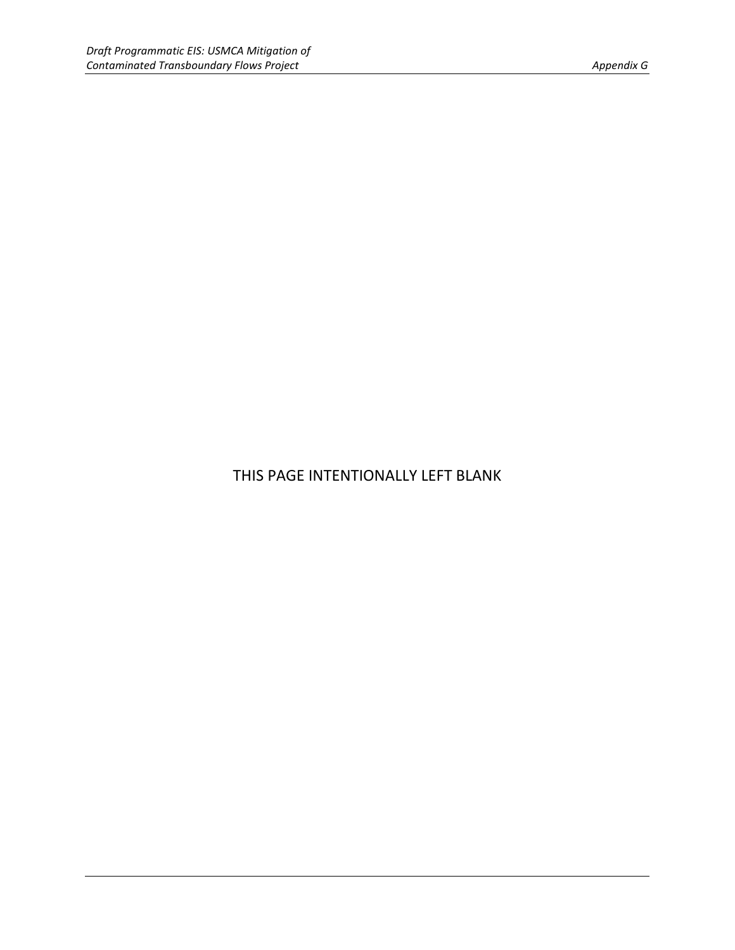# THIS PAGE INTENTIONALLY LEFT BLANK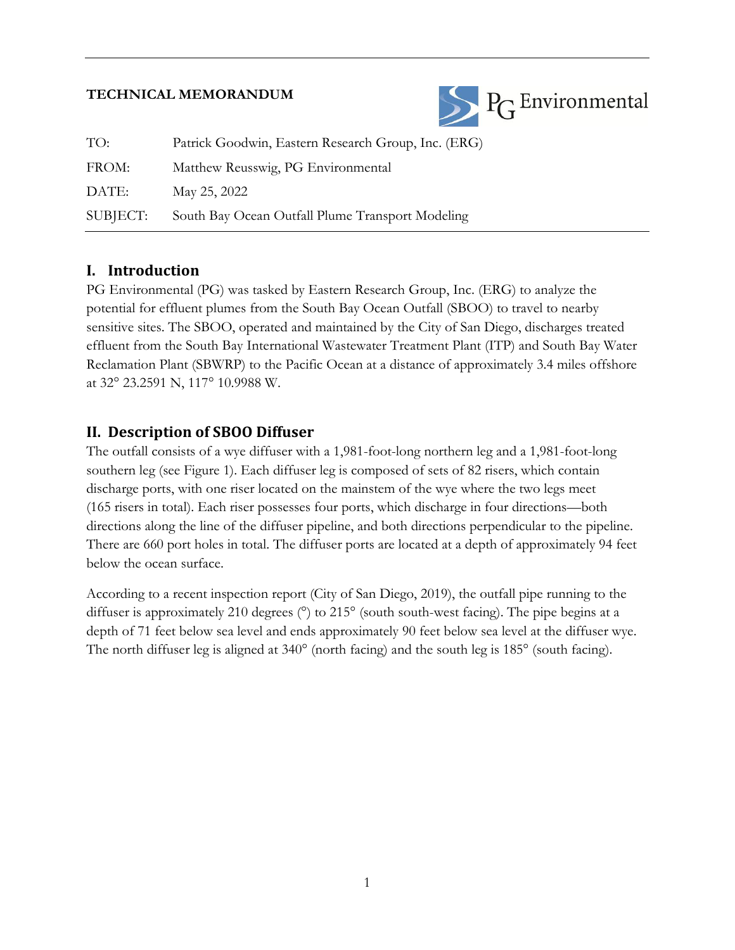#### **TECHNICAL MEMORANDUM**



| TO:      | Patrick Goodwin, Eastern Research Group, Inc. (ERG) |
|----------|-----------------------------------------------------|
| FROM:    | Matthew Reusswig, PG Environmental                  |
| DATE:    | May 25, 2022                                        |
| SUBJECT: | South Bay Ocean Outfall Plume Transport Modeling    |

## **I. Introduction**

PG Environmental (PG) was tasked by Eastern Research Group, Inc. (ERG) to analyze the potential for effluent plumes from the South Bay Ocean Outfall (SBOO) to travel to nearby sensitive sites. The SBOO, operated and maintained by the City of San Diego, discharges treated effluent from the South Bay International Wastewater Treatment Plant (ITP) and South Bay Water Reclamation Plant (SBWRP) to the Pacific Ocean at a distance of approximately 3.4 miles offshore at 32° 23.2591 N, 117° 10.9988 W.

## **II. Description of SBOO Diffuser**

The outfall consists of a wye diffuser with a 1,981-foot-long northern leg and a 1,981-foot-long southern leg (see Figure 1). Each diffuser leg is composed of sets of 82 risers, which contain discharge ports, with one riser located on the mainstem of the wye where the two legs meet (165 risers in total). Each riser possesses four ports, which discharge in four directions—both directions along the line of the diffuser pipeline, and both directions perpendicular to the pipeline. There are 660 port holes in total. The diffuser ports are located at a depth of approximately 94 feet below the ocean surface.

According to a recent inspection report (City of San Diego, 2019), the outfall pipe running to the diffuser is approximately 210 degrees (°) to 215° (south south-west facing). The pipe begins at a depth of 71 feet below sea level and ends approximately 90 feet below sea level at the diffuser wye. The north diffuser leg is aligned at 340° (north facing) and the south leg is 185° (south facing).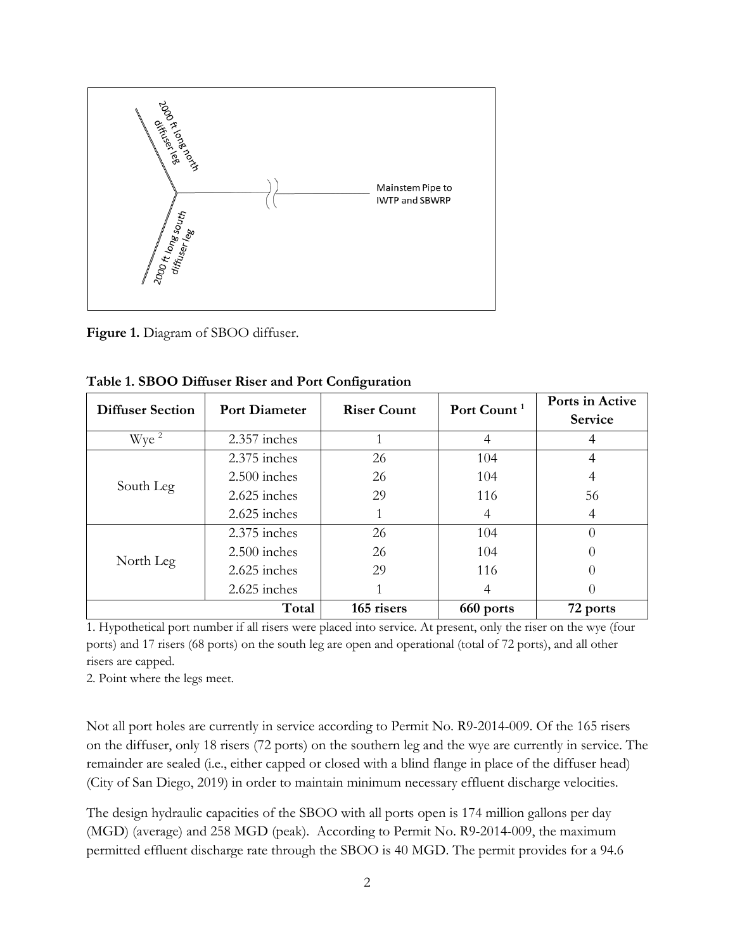

**Figure 1.** Diagram of SBOO diffuser.

| <b>Diffuser Section</b> | <b>Port Diameter</b> | <b>Riser Count</b> | Port Count <sup>1</sup> | Ports in Active |
|-------------------------|----------------------|--------------------|-------------------------|-----------------|
|                         |                      |                    |                         | <b>Service</b>  |
| Wye <sup>2</sup>        | 2.357 inches         |                    | 4                       |                 |
| South Leg               | 2.375 inches         | 26                 | 104                     |                 |
|                         | 2.500 inches         | 26                 | 104                     | 4               |
|                         | 2.625 inches         | 29                 | 116                     | 56              |
|                         | 2.625 inches         |                    | 4                       | 4               |
| North Leg               | 2.375 inches         | 26                 | 104                     |                 |
|                         | $2.500$ inches       | 26                 | 104                     |                 |
|                         | 2.625 inches         | 29                 | 116                     |                 |
|                         | 2.625 inches         |                    | 4                       |                 |
|                         | Total                | 165 risers         | 660 ports               | 72 ports        |

**Table 1. SBOO Diffuser Riser and Port Configuration**

1. Hypothetical port number if all risers were placed into service. At present, only the riser on the wye (four ports) and 17 risers (68 ports) on the south leg are open and operational (total of 72 ports), and all other risers are capped.

2. Point where the legs meet.

Not all port holes are currently in service according to Permit No. R9-2014-009. Of the 165 risers on the diffuser, only 18 risers (72 ports) on the southern leg and the wye are currently in service. The remainder are sealed (i.e., either capped or closed with a blind flange in place of the diffuser head) (City of San Diego, 2019) in order to maintain minimum necessary effluent discharge velocities.

The design hydraulic capacities of the SBOO with all ports open is 174 million gallons per day (MGD) (average) and 258 MGD (peak). According to Permit No. R9-2014-009, the maximum permitted effluent discharge rate through the SBOO is 40 MGD. The permit provides for a 94.6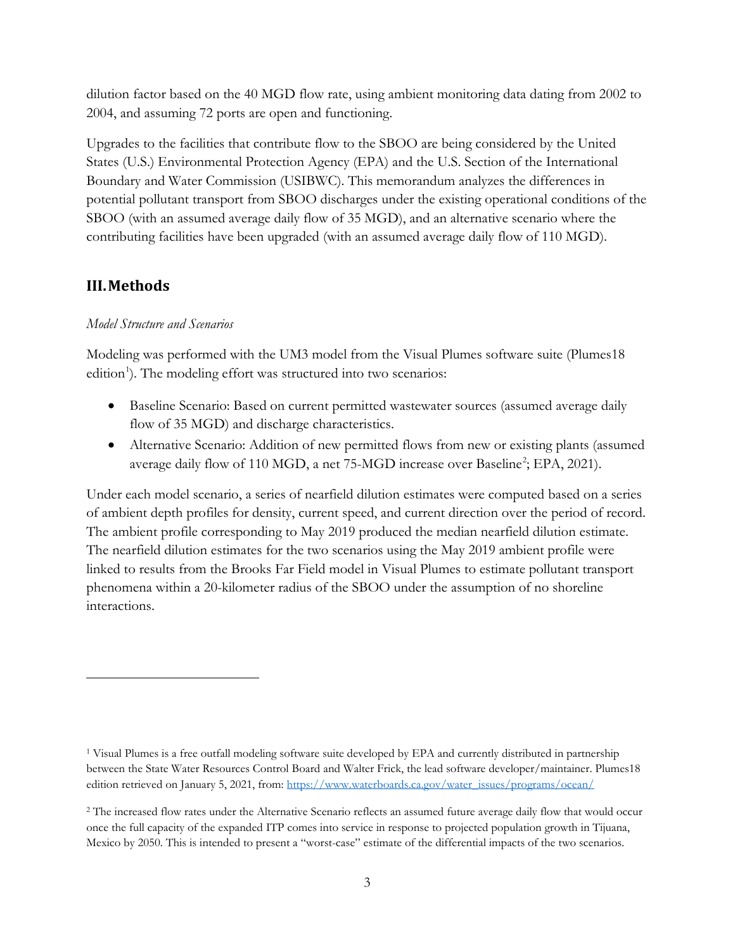dilution factor based on the 40 MGD flow rate, using ambient monitoring data dating from 2002 to 2004, and assuming 72 ports are open and functioning.

Upgrades to the facilities that contribute flow to the SBOO are being considered by the United States (U.S.) Environmental Protection Agency (EPA) and the U.S. Section of the International Boundary and Water Commission (USIBWC). This memorandum analyzes the differences in potential pollutant transport from SBOO discharges under the existing operational conditions of the SBOO (with an assumed average daily flow of 35 MGD), and an alternative scenario where the contributing facilities have been upgraded (with an assumed average daily flow of 110 MGD).

## **III.Methods**

## *Model Structure and Scenarios*

Modeling was performed with the UM3 model from the Visual Plumes software suite (Plumes18 edition<sup>[1](#page-4-0)</sup>). The modeling effort was structured into two scenarios:

- Baseline Scenario: Based on current permitted wastewater sources (assumed average daily flow of 35 MGD) and discharge characteristics.
- Alternative Scenario: Addition of new permitted flows from new or existing plants (assumed average daily flow of 110 MGD, a net 75-MGD increase over Baseline<sup>[2](#page-4-1)</sup>; EPA, 2021).

Under each model scenario, a series of nearfield dilution estimates were computed based on a series of ambient depth profiles for density, current speed, and current direction over the period of record. The ambient profile corresponding to May 2019 produced the median nearfield dilution estimate. The nearfield dilution estimates for the two scenarios using the May 2019 ambient profile were linked to results from the Brooks Far Field model in Visual Plumes to estimate pollutant transport phenomena within a 20-kilometer radius of the SBOO under the assumption of no shoreline interactions.

<span id="page-4-0"></span><sup>1</sup> Visual Plumes is a free outfall modeling software suite developed by EPA and currently distributed in partnership between the State Water Resources Control Board and Walter Frick, the lead software developer/maintainer. Plumes18 edition retrieved on January 5, 2021, from: https://www.waterboards.ca.gov/water\_issues/programs/ocean/

<span id="page-4-1"></span><sup>&</sup>lt;sup>2</sup> The increased flow rates under the Alternative Scenario reflects an assumed future average daily flow that would occur once the full capacity of the expanded ITP comes into service in response to projected population growth in Tijuana, Mexico by 2050. This is intended to present a "worst-case" estimate of the differential impacts of the two scenarios.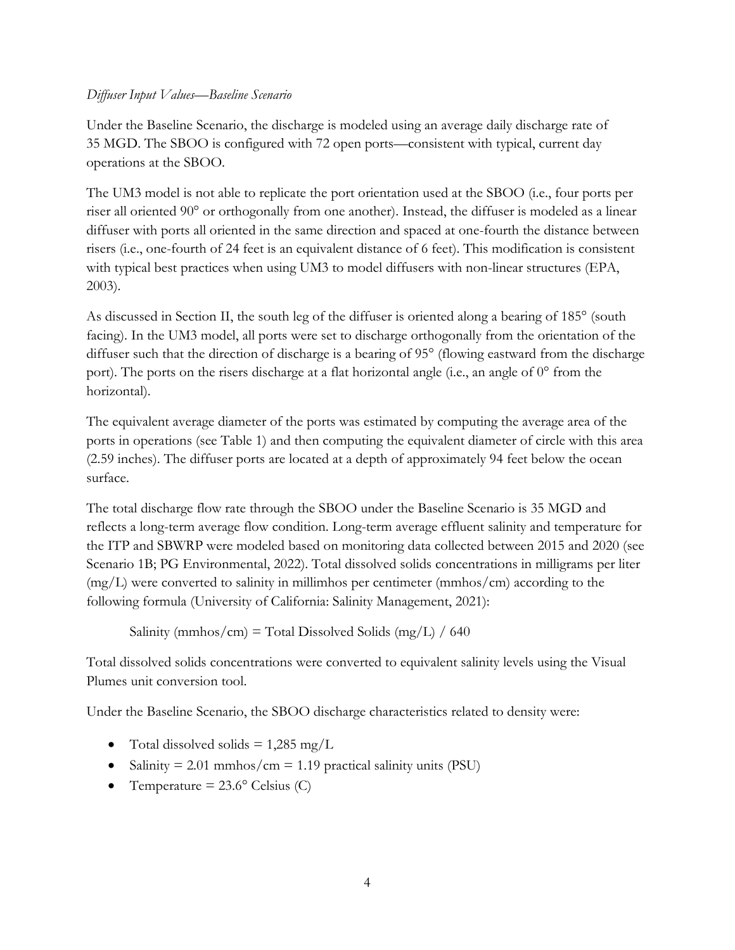#### *Diffuser Input Values—Baseline Scenario*

Under the Baseline Scenario, the discharge is modeled using an average daily discharge rate of 35 MGD. The SBOO is configured with 72 open ports—consistent with typical, current day operations at the SBOO.

The UM3 model is not able to replicate the port orientation used at the SBOO (i.e., four ports per riser all oriented 90° or orthogonally from one another). Instead, the diffuser is modeled as a linear diffuser with ports all oriented in the same direction and spaced at one-fourth the distance between risers (i.e., one-fourth of 24 feet is an equivalent distance of 6 feet). This modification is consistent with typical best practices when using UM3 to model diffusers with non-linear structures (EPA, 2003).

As discussed in Section II, the south leg of the diffuser is oriented along a bearing of 185° (south facing). In the UM3 model, all ports were set to discharge orthogonally from the orientation of the diffuser such that the direction of discharge is a bearing of 95° (flowing eastward from the discharge port). The ports on the risers discharge at a flat horizontal angle (i.e., an angle of  $0^{\circ}$  from the horizontal).

The equivalent average diameter of the ports was estimated by computing the average area of the ports in operations (see Table 1) and then computing the equivalent diameter of circle with this area (2.59 inches). The diffuser ports are located at a depth of approximately 94 feet below the ocean surface.

The total discharge flow rate through the SBOO under the Baseline Scenario is 35 MGD and reflects a long-term average flow condition. Long-term average effluent salinity and temperature for the ITP and SBWRP were modeled based on monitoring data collected between 2015 and 2020 (see Scenario 1B; PG Environmental, 2022). Total dissolved solids concentrations in milligrams per liter (mg/L) were converted to salinity in millimhos per centimeter (mmhos/cm) according to the following formula (University of California: Salinity Management, 2021):

Salinity (mmhos/cm) = Total Dissolved Solids (mg/L) / 640

Total dissolved solids concentrations were converted to equivalent salinity levels using the Visual Plumes unit conversion tool.

Under the Baseline Scenario, the SBOO discharge characteristics related to density were:

- Total dissolved solids  $= 1,285$  mg/L
- Salinity  $= 2.01$  mmhos/cm  $= 1.19$  practical salinity units (PSU)
- Temperature  $= 23.6^{\circ}$  Celsius (C)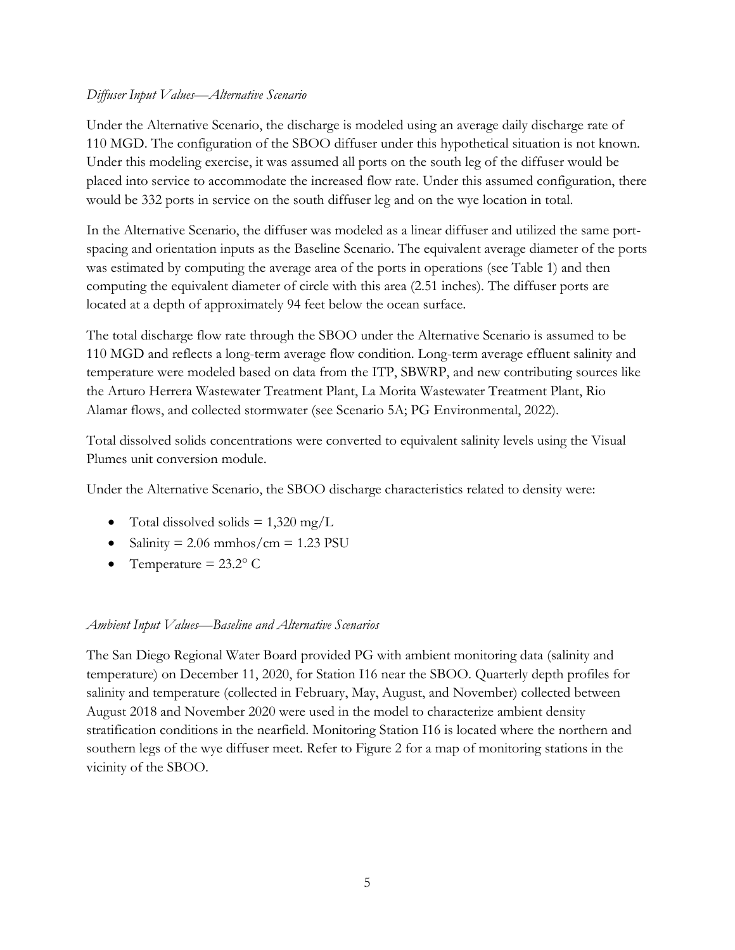#### *Diffuser Input Values—Alternative Scenario*

Under the Alternative Scenario, the discharge is modeled using an average daily discharge rate of 110 MGD. The configuration of the SBOO diffuser under this hypothetical situation is not known. Under this modeling exercise, it was assumed all ports on the south leg of the diffuser would be placed into service to accommodate the increased flow rate. Under this assumed configuration, there would be 332 ports in service on the south diffuser leg and on the wye location in total.

In the Alternative Scenario, the diffuser was modeled as a linear diffuser and utilized the same portspacing and orientation inputs as the Baseline Scenario. The equivalent average diameter of the ports was estimated by computing the average area of the ports in operations (see Table 1) and then computing the equivalent diameter of circle with this area (2.51 inches). The diffuser ports are located at a depth of approximately 94 feet below the ocean surface.

The total discharge flow rate through the SBOO under the Alternative Scenario is assumed to be 110 MGD and reflects a long-term average flow condition. Long-term average effluent salinity and temperature were modeled based on data from the ITP, SBWRP, and new contributing sources like the Arturo Herrera Wastewater Treatment Plant, La Morita Wastewater Treatment Plant, Rio Alamar flows, and collected stormwater (see Scenario 5A; PG Environmental, 2022).

Total dissolved solids concentrations were converted to equivalent salinity levels using the Visual Plumes unit conversion module.

Under the Alternative Scenario, the SBOO discharge characteristics related to density were:

- Total dissolved solids  $= 1,320$  mg/L
- Salinity =  $2.06 \text{ mmhos/cm} = 1.23 \text{ PSU}$
- Temperature =  $23.2^{\circ}$  C

#### *Ambient Input Values—Baseline and Alternative Scenarios*

The San Diego Regional Water Board provided PG with ambient monitoring data (salinity and temperature) on December 11, 2020, for Station I16 near the SBOO. Quarterly depth profiles for salinity and temperature (collected in February, May, August, and November) collected between August 2018 and November 2020 were used in the model to characterize ambient density stratification conditions in the nearfield. Monitoring Station I16 is located where the northern and southern legs of the wye diffuser meet. Refer to Figure 2 for a map of monitoring stations in the vicinity of the SBOO.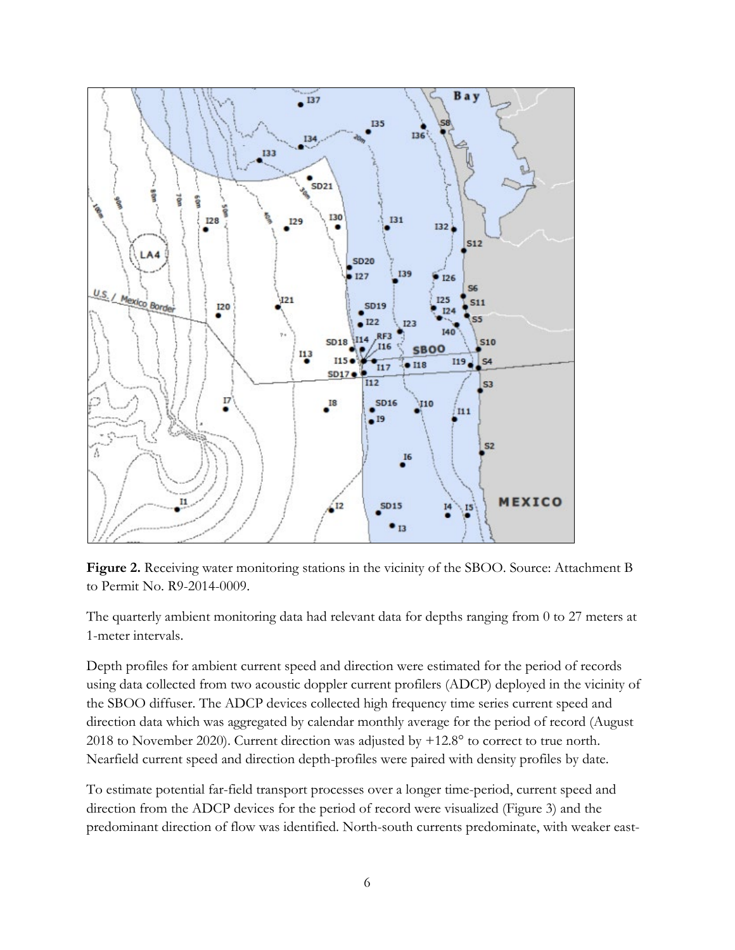



The quarterly ambient monitoring data had relevant data for depths ranging from 0 to 27 meters at 1-meter intervals.

Depth profiles for ambient current speed and direction were estimated for the period of records using data collected from two acoustic doppler current profilers (ADCP) deployed in the vicinity of the SBOO diffuser. The ADCP devices collected high frequency time series current speed and direction data which was aggregated by calendar monthly average for the period of record (August 2018 to November 2020). Current direction was adjusted by +12.8° to correct to true north. Nearfield current speed and direction depth-profiles were paired with density profiles by date.

To estimate potential far-field transport processes over a longer time-period, current speed and direction from the ADCP devices for the period of record were visualized (Figure 3) and the predominant direction of flow was identified. North-south currents predominate, with weaker east-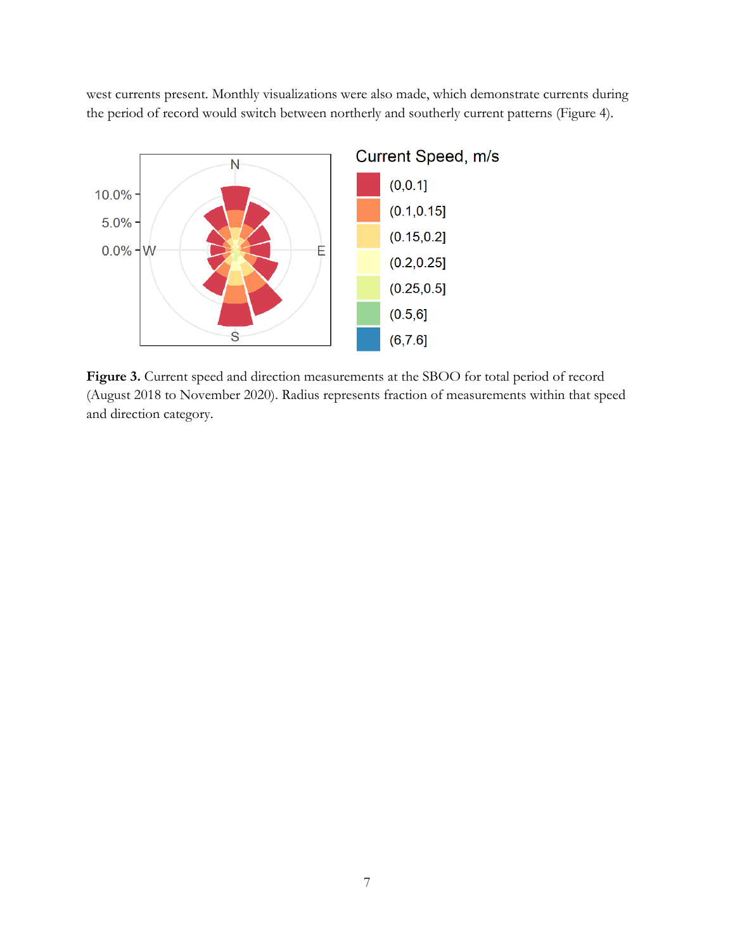west currents present. Monthly visualizations were also made, which demonstrate currents during the period of record would switch between northerly and southerly current patterns (Figure 4).



**Figure 3.** Current speed and direction measurements at the SBOO for total period of record (August 2018 to November 2020). Radius represents fraction of measurements within that speed and direction category.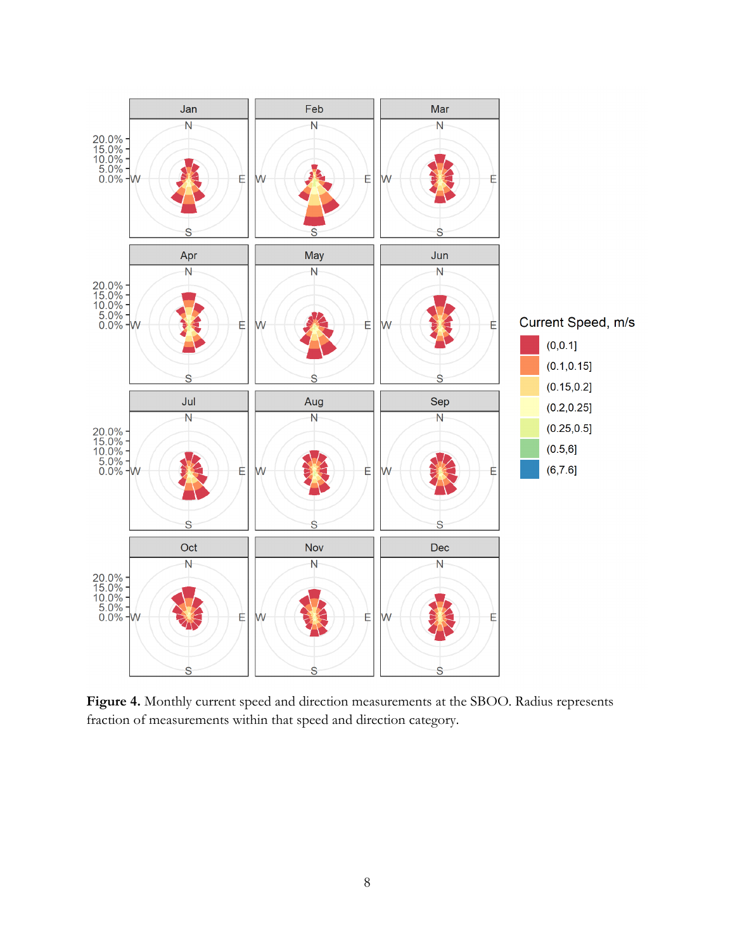

**Figure 4.** Monthly current speed and direction measurements at the SBOO. Radius represents fraction of measurements within that speed and direction category.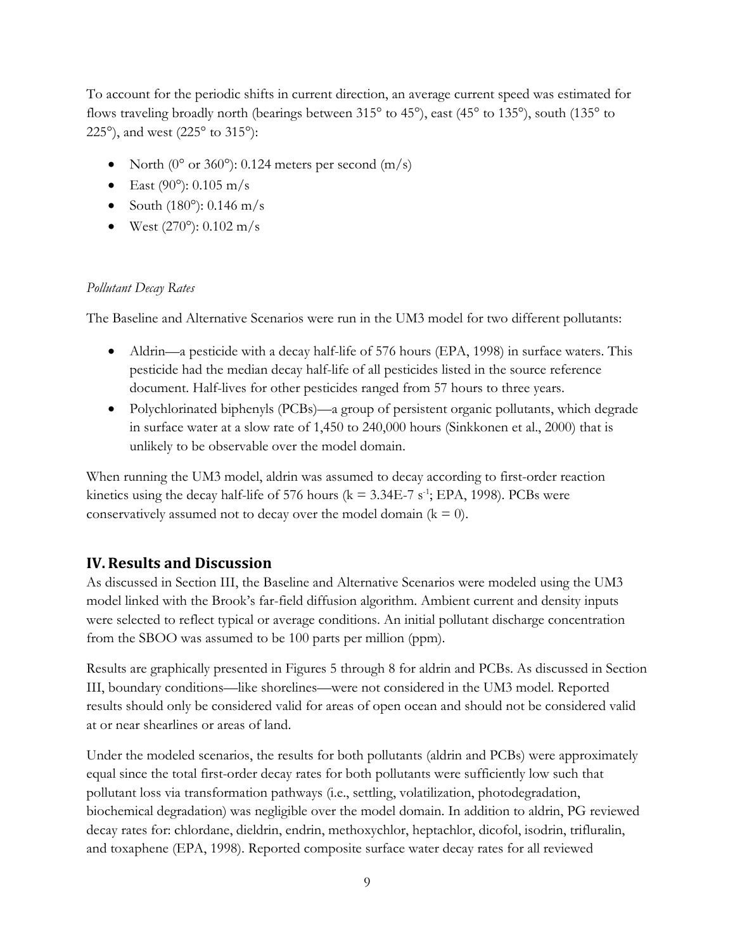To account for the periodic shifts in current direction, an average current speed was estimated for flows traveling broadly north (bearings between 315° to 45°), east (45° to 135°), south (135° to 225°), and west (225° to 315°):

- North ( $0^{\circ}$  or 360°): 0.124 meters per second (m/s)
- East  $(90^{\circ})$ : 0.105 m/s
- South  $(180^{\circ})$ : 0.146 m/s
- West  $(270^{\circ})$ : 0.102 m/s

#### *Pollutant Decay Rates*

The Baseline and Alternative Scenarios were run in the UM3 model for two different pollutants:

- Aldrin—a pesticide with a decay half-life of 576 hours (EPA, 1998) in surface waters. This pesticide had the median decay half-life of all pesticides listed in the source reference document. Half-lives for other pesticides ranged from 57 hours to three years.
- Polychlorinated biphenyls (PCBs)—a group of persistent organic pollutants, which degrade in surface water at a slow rate of 1,450 to 240,000 hours (Sinkkonen et al., 2000) that is unlikely to be observable over the model domain.

When running the UM3 model, aldrin was assumed to decay according to first-order reaction kinetics using the decay half-life of 576 hours ( $k = 3.34E-7$  s<sup>-1</sup>; EPA, 1998). PCBs were conservatively assumed not to decay over the model domain  $(k = 0)$ .

## **IV. Results and Discussion**

As discussed in Section III, the Baseline and Alternative Scenarios were modeled using the UM3 model linked with the Brook's far-field diffusion algorithm. Ambient current and density inputs were selected to reflect typical or average conditions. An initial pollutant discharge concentration from the SBOO was assumed to be 100 parts per million (ppm).

Results are graphically presented in Figures 5 through 8 for aldrin and PCBs. As discussed in Section III, boundary conditions—like shorelines—were not considered in the UM3 model. Reported results should only be considered valid for areas of open ocean and should not be considered valid at or near shearlines or areas of land.

Under the modeled scenarios, the results for both pollutants (aldrin and PCBs) were approximately equal since the total first-order decay rates for both pollutants were sufficiently low such that pollutant loss via transformation pathways (i.e., settling, volatilization, photodegradation, biochemical degradation) was negligible over the model domain. In addition to aldrin, PG reviewed decay rates for: chlordane, dieldrin, endrin, methoxychlor, heptachlor, dicofol, isodrin, trifluralin, and toxaphene (EPA, 1998). Reported composite surface water decay rates for all reviewed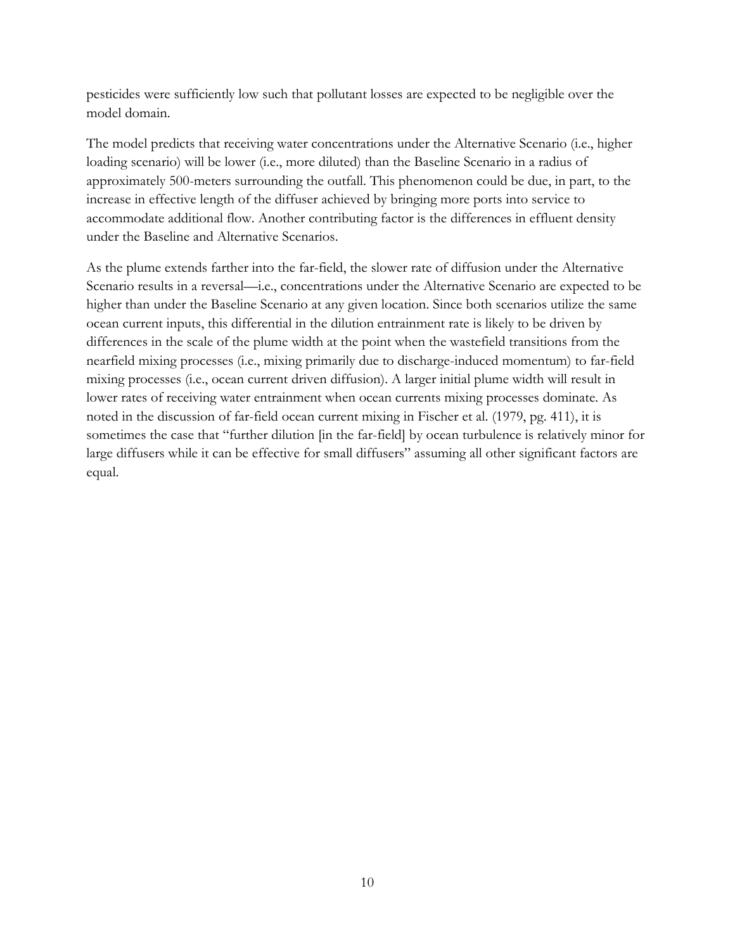pesticides were sufficiently low such that pollutant losses are expected to be negligible over the model domain.

The model predicts that receiving water concentrations under the Alternative Scenario (i.e., higher loading scenario) will be lower (i.e., more diluted) than the Baseline Scenario in a radius of approximately 500-meters surrounding the outfall. This phenomenon could be due, in part, to the increase in effective length of the diffuser achieved by bringing more ports into service to accommodate additional flow. Another contributing factor is the differences in effluent density under the Baseline and Alternative Scenarios.

As the plume extends farther into the far-field, the slower rate of diffusion under the Alternative Scenario results in a reversal—i.e., concentrations under the Alternative Scenario are expected to be higher than under the Baseline Scenario at any given location. Since both scenarios utilize the same ocean current inputs, this differential in the dilution entrainment rate is likely to be driven by differences in the scale of the plume width at the point when the wastefield transitions from the nearfield mixing processes (i.e., mixing primarily due to discharge-induced momentum) to far-field mixing processes (i.e., ocean current driven diffusion). A larger initial plume width will result in lower rates of receiving water entrainment when ocean currents mixing processes dominate. As noted in the discussion of far-field ocean current mixing in Fischer et al. (1979, pg. 411), it is sometimes the case that "further dilution [in the far-field] by ocean turbulence is relatively minor for large diffusers while it can be effective for small diffusers" assuming all other significant factors are equal.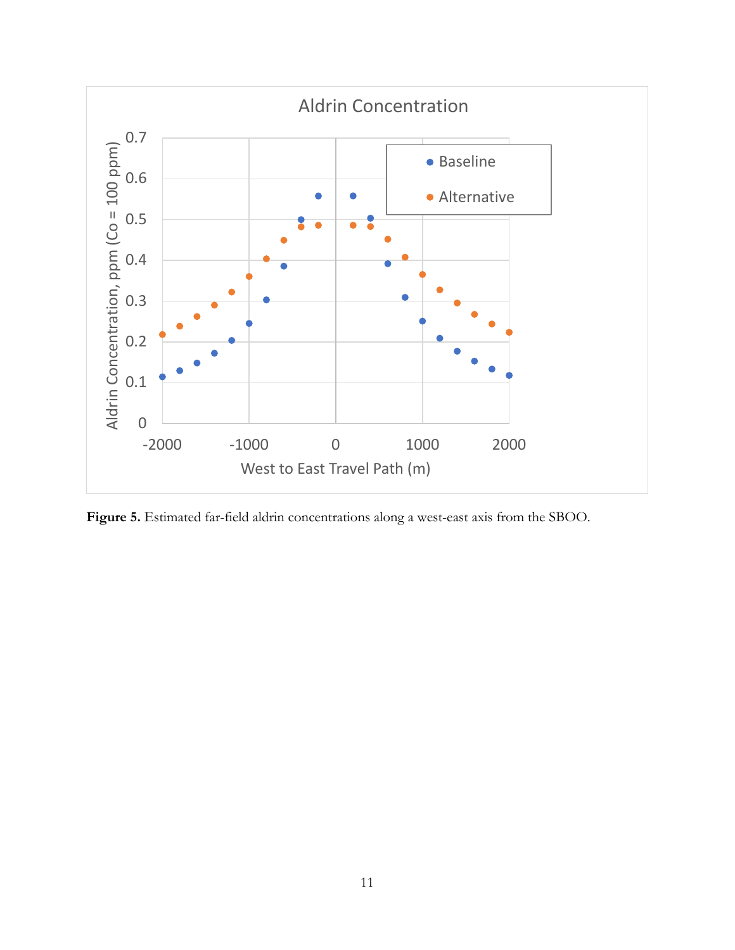

**Figure 5.** Estimated far-field aldrin concentrations along a west-east axis from the SBOO.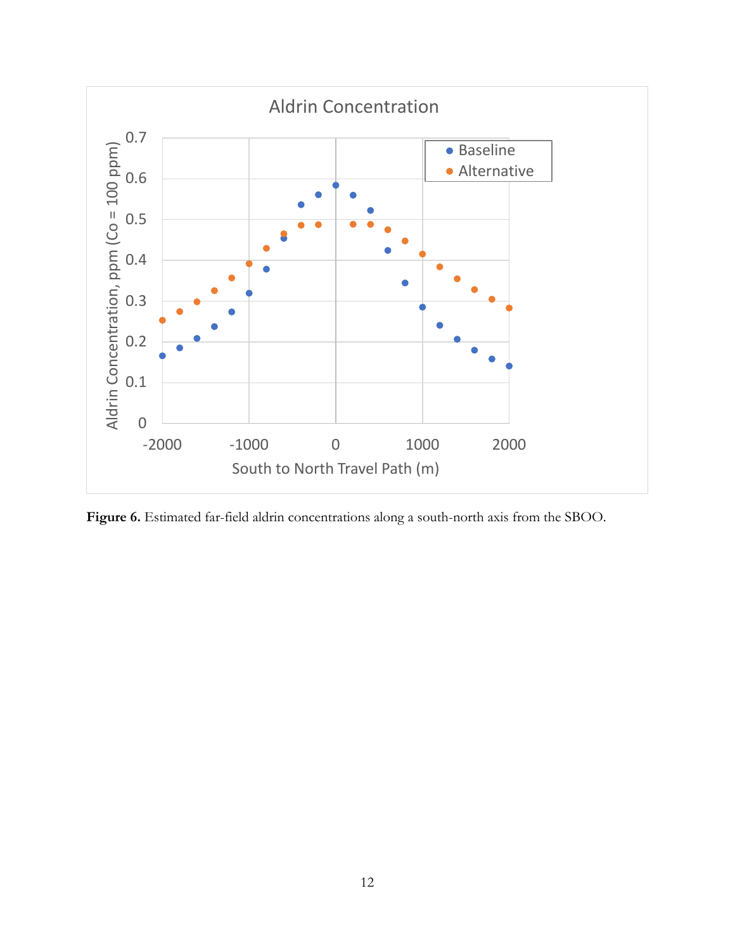

**Figure 6.** Estimated far-field aldrin concentrations along a south-north axis from the SBOO.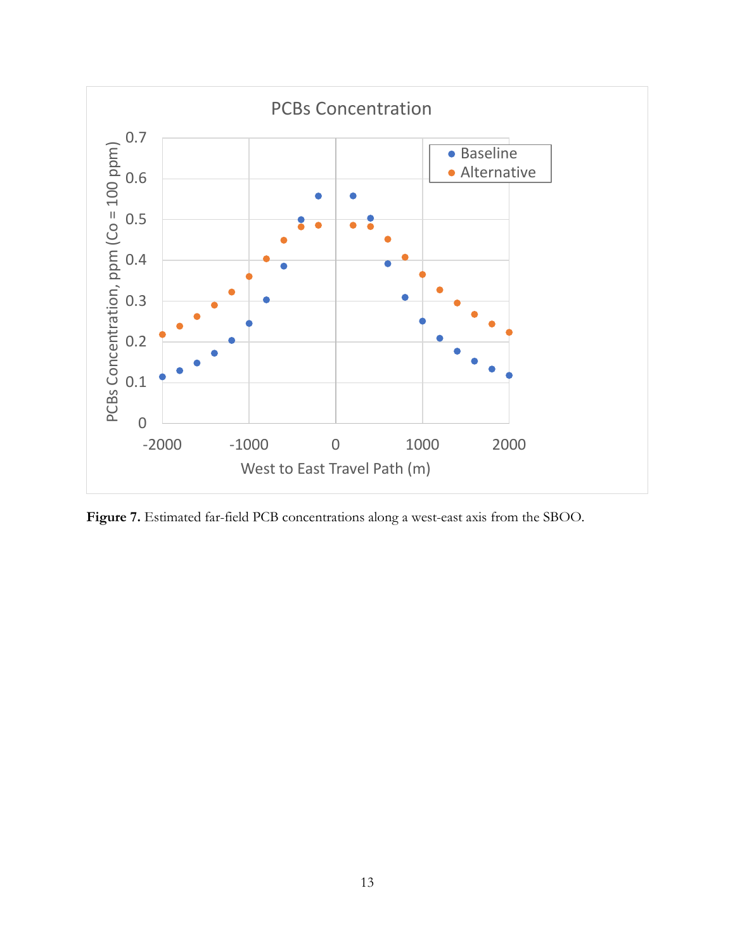

**Figure 7.** Estimated far-field PCB concentrations along a west-east axis from the SBOO.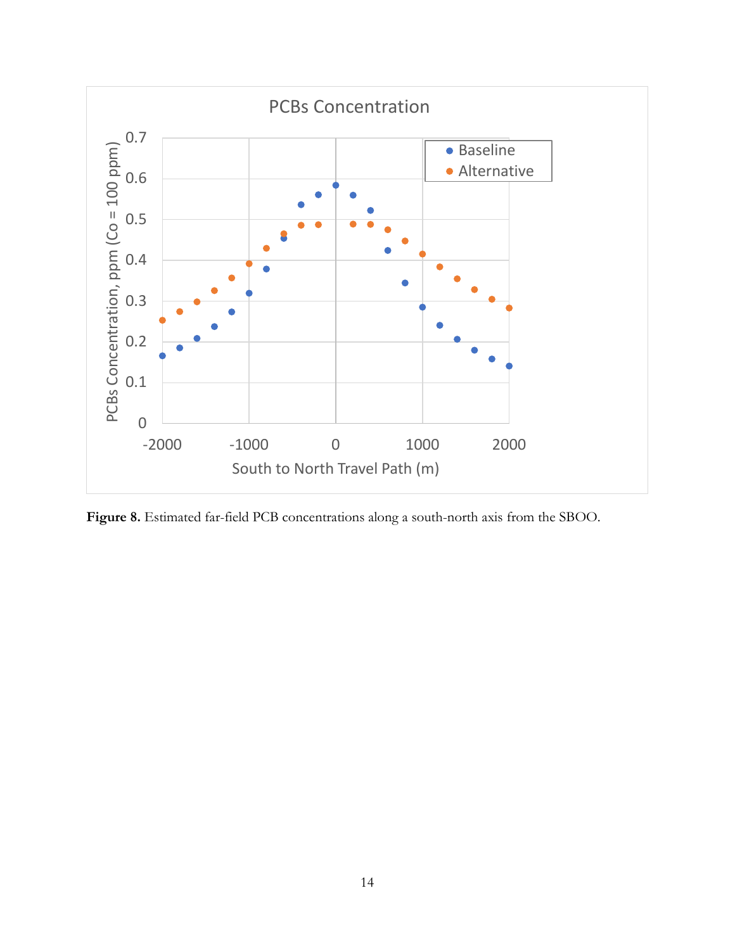

**Figure 8.** Estimated far-field PCB concentrations along a south-north axis from the SBOO.